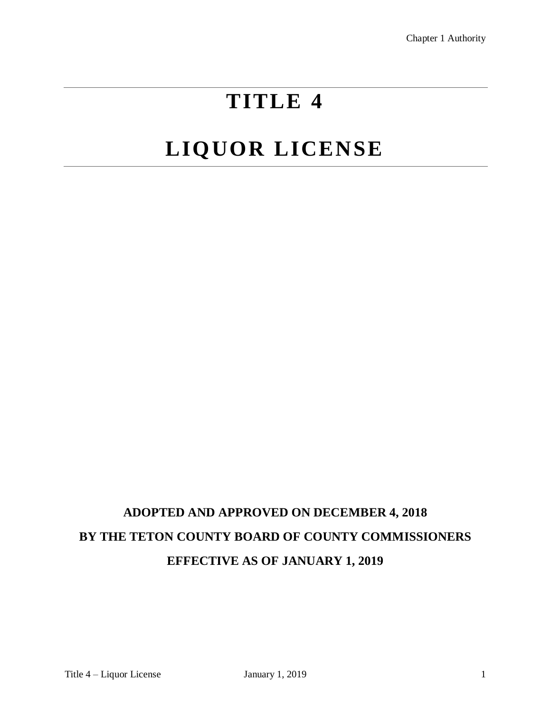# **TITLE 4**

# **LIQUOR LICENSE**

## **ADOPTED AND APPROVED ON DECEMBER 4, 2018 BY THE TETON COUNTY BOARD OF COUNTY COMMISSIONERS EFFECTIVE AS OF JANUARY 1, 2019**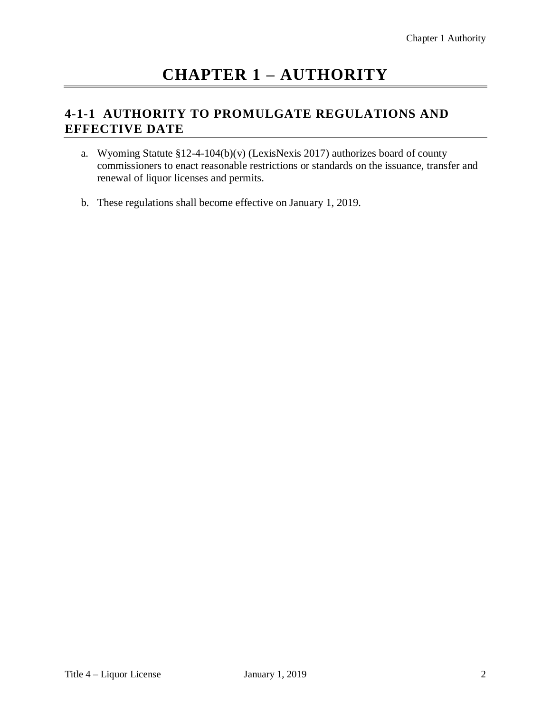### **CHAPTER 1 – AUTHORITY**

#### **4-1-1 AUTHORITY TO PROMULGATE REGULATIONS AND EFFECTIVE DATE**

- a. Wyoming Statute  $$12-4-104(b)(v)$  (LexisNexis 2017) authorizes board of county commissioners to enact reasonable restrictions or standards on the issuance, transfer and renewal of liquor licenses and permits.
- b. These regulations shall become effective on January 1, 2019.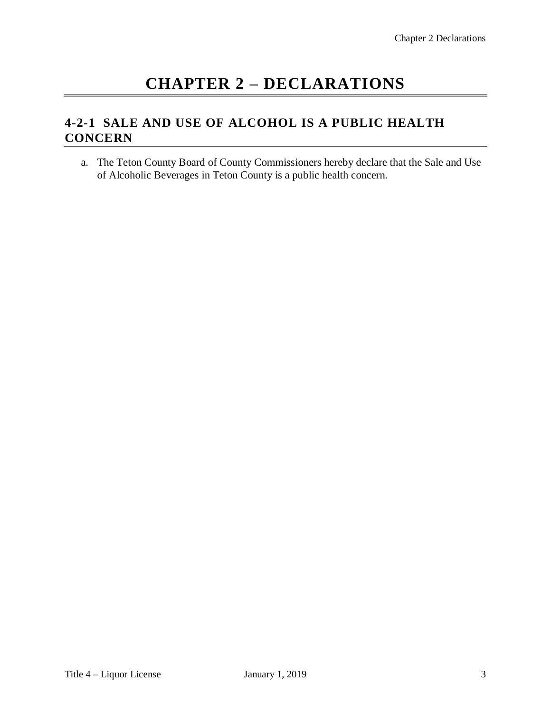### **CHAPTER 2 – DECLARATIONS**

### **4-2-1 SALE AND USE OF ALCOHOL IS A PUBLIC HEALTH CONCERN**

a. The Teton County Board of County Commissioners hereby declare that the Sale and Use of Alcoholic Beverages in Teton County is a public health concern.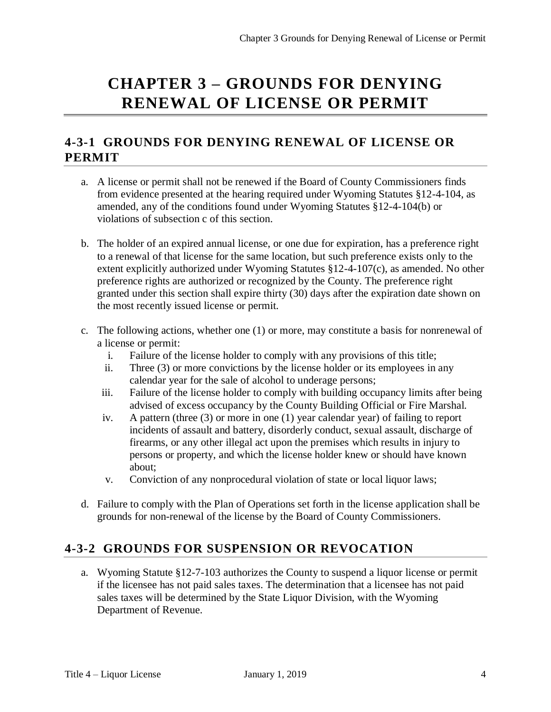### **CHAPTER 3 – GROUNDS FOR DENYING RENEWAL OF LICENSE OR PERMIT**

#### **4-3-1 GROUNDS FOR DENYING RENEWAL OF LICENSE OR PERMIT**

- a. A license or permit shall not be renewed if the Board of County Commissioners finds from evidence presented at the hearing required under Wyoming Statutes §12-4-104, as amended, any of the conditions found under Wyoming Statutes §12-4-104(b) or violations of subsection c of this section.
- b. The holder of an expired annual license, or one due for expiration, has a preference right to a renewal of that license for the same location, but such preference exists only to the extent explicitly authorized under Wyoming Statutes §12-4-107(c), as amended. No other preference rights are authorized or recognized by the County. The preference right granted under this section shall expire thirty (30) days after the expiration date shown on the most recently issued license or permit.
- c. The following actions, whether one (1) or more, may constitute a basis for nonrenewal of a license or permit:
	- i. Failure of the license holder to comply with any provisions of this title;
	- ii. Three (3) or more convictions by the license holder or its employees in any calendar year for the sale of alcohol to underage persons;
	- iii. Failure of the license holder to comply with building occupancy limits after being advised of excess occupancy by the County Building Official or Fire Marshal.
	- iv. A pattern (three (3) or more in one (1) year calendar year) of failing to report incidents of assault and battery, disorderly conduct, sexual assault, discharge of firearms, or any other illegal act upon the premises which results in injury to persons or property, and which the license holder knew or should have known about;
	- v. Conviction of any nonprocedural violation of state or local liquor laws;
- d. Failure to comply with the Plan of Operations set forth in the license application shall be grounds for non-renewal of the license by the Board of County Commissioners.

#### **4-3-2 GROUNDS FOR SUSPENSION OR REVOCATION**

a. Wyoming Statute §12-7-103 authorizes the County to suspend a liquor license or permit if the licensee has not paid sales taxes. The determination that a licensee has not paid sales taxes will be determined by the State Liquor Division, with the Wyoming Department of Revenue.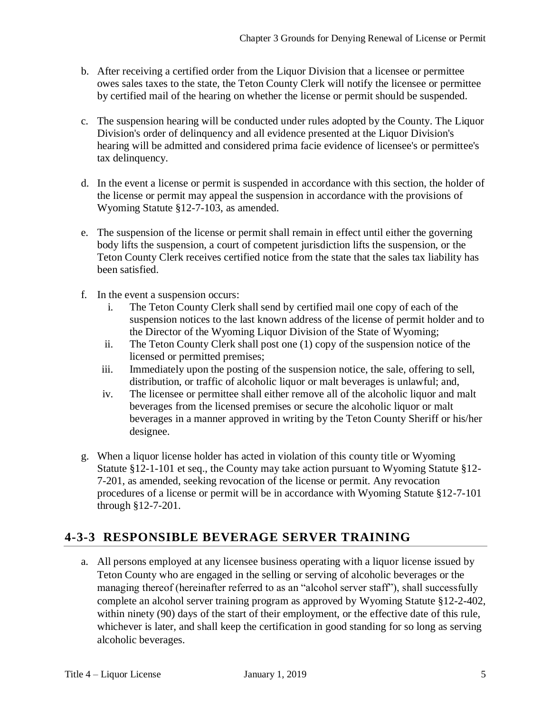- b. After receiving a certified order from the Liquor Division that a licensee or permittee owes sales taxes to the state, the Teton County Clerk will notify the licensee or permittee by certified mail of the hearing on whether the license or permit should be suspended.
- c. The suspension hearing will be conducted under rules adopted by the County. The Liquor Division's order of delinquency and all evidence presented at the Liquor Division's hearing will be admitted and considered prima facie evidence of licensee's or permittee's tax delinquency.
- d. In the event a license or permit is suspended in accordance with this section, the holder of the license or permit may appeal the suspension in accordance with the provisions of Wyoming Statute §12-7-103, as amended.
- e. The suspension of the license or permit shall remain in effect until either the governing body lifts the suspension, a court of competent jurisdiction lifts the suspension, or the Teton County Clerk receives certified notice from the state that the sales tax liability has been satisfied.
- f. In the event a suspension occurs:
	- i. The Teton County Clerk shall send by certified mail one copy of each of the suspension notices to the last known address of the license of permit holder and to the Director of the Wyoming Liquor Division of the State of Wyoming;
	- ii. The Teton County Clerk shall post one (1) copy of the suspension notice of the licensed or permitted premises;
	- iii. Immediately upon the posting of the suspension notice, the sale, offering to sell, distribution, or traffic of alcoholic liquor or malt beverages is unlawful; and,
	- iv. The licensee or permittee shall either remove all of the alcoholic liquor and malt beverages from the licensed premises or secure the alcoholic liquor or malt beverages in a manner approved in writing by the Teton County Sheriff or his/her designee.
- g. When a liquor license holder has acted in violation of this county title or Wyoming Statute §12-1-101 et seq., the County may take action pursuant to Wyoming Statute §12- 7-201, as amended, seeking revocation of the license or permit. Any revocation procedures of a license or permit will be in accordance with Wyoming Statute §12-7-101 through §12-7-201.

### **4-3-3 RESPONSIBLE BEVERAGE SERVER TRAINING**

a. All persons employed at any licensee business operating with a liquor license issued by Teton County who are engaged in the selling or serving of alcoholic beverages or the managing thereof (hereinafter referred to as an "alcohol server staff"), shall successfully complete an alcohol server training program as approved by Wyoming Statute §12-2-402, within ninety (90) days of the start of their employment, or the effective date of this rule, whichever is later, and shall keep the certification in good standing for so long as serving alcoholic beverages.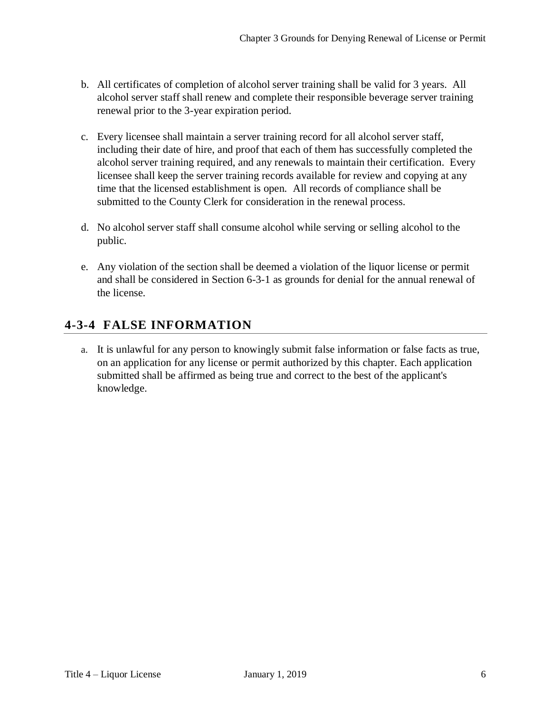- b. All certificates of completion of alcohol server training shall be valid for 3 years. All alcohol server staff shall renew and complete their responsible beverage server training renewal prior to the 3-year expiration period.
- c. Every licensee shall maintain a server training record for all alcohol server staff, including their date of hire, and proof that each of them has successfully completed the alcohol server training required, and any renewals to maintain their certification. Every licensee shall keep the server training records available for review and copying at any time that the licensed establishment is open. All records of compliance shall be submitted to the County Clerk for consideration in the renewal process.
- d. No alcohol server staff shall consume alcohol while serving or selling alcohol to the public.
- e. Any violation of the section shall be deemed a violation of the liquor license or permit and shall be considered in Section 6-3-1 as grounds for denial for the annual renewal of the license.

### **4-3-4 FALSE INFORMATION**

a. It is unlawful for any person to knowingly submit false information or false facts as true, on an application for any license or permit authorized by this chapter. Each application submitted shall be affirmed as being true and correct to the best of the applicant's knowledge.